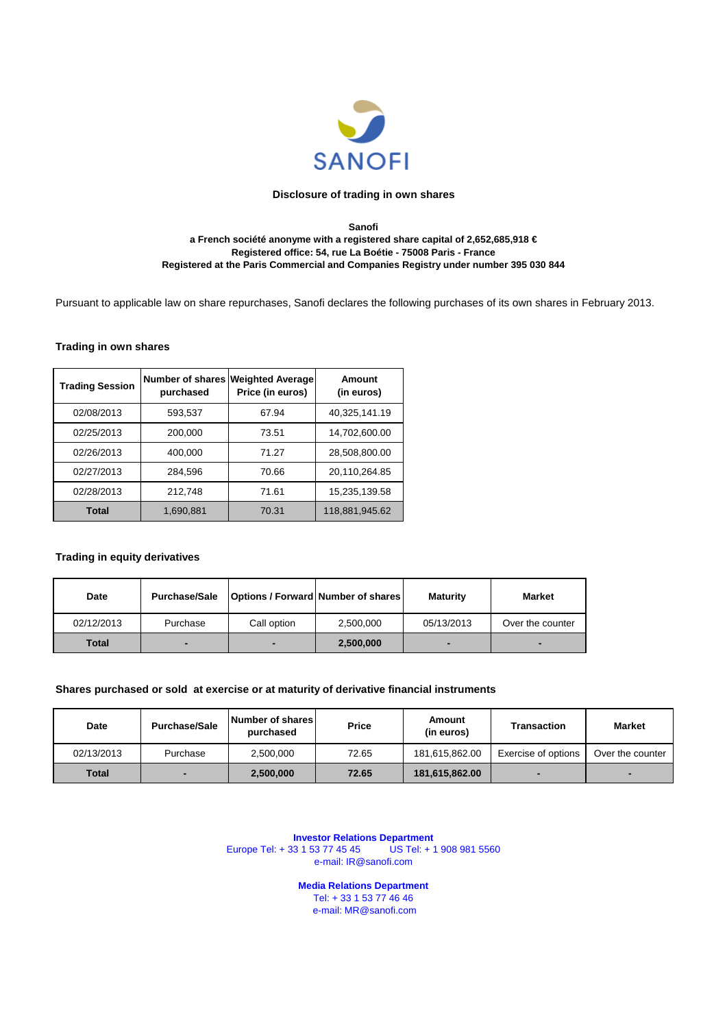

#### **Sanofi a French société anonyme with a registered share capital of 2,652,685,918 € Registered office: 54, rue La Boétie - 75008 Paris - France Registered at the Paris Commercial and Companies Registry under number 395 030 844**

Pursuant to applicable law on share repurchases, Sanofi declares the following purchases of its own shares in February 2013.

#### **Trading in own shares**

| <b>Trading Session</b> | purchased | Number of shares Weighted Average<br>Price (in euros) | Amount<br>(in euros) |
|------------------------|-----------|-------------------------------------------------------|----------------------|
| 02/08/2013             | 593,537   | 67.94                                                 | 40,325,141.19        |
| 02/25/2013             | 200,000   | 73.51                                                 | 14,702,600.00        |
| 02/26/2013             | 400,000   | 71.27                                                 | 28,508,800.00        |
| 02/27/2013             | 284,596   | 70.66                                                 | 20,110,264.85        |
| 02/28/2013             | 212.748   | 71.61                                                 | 15,235,139.58        |
| Total                  | 1,690,881 | 70.31                                                 | 118,881,945.62       |

#### **Trading in equity derivatives**

| Date       | <b>Purchase/Sale</b> | <b>Options / Forward Number of shares</b> |           | <b>Maturity</b> | <b>Market</b>    |
|------------|----------------------|-------------------------------------------|-----------|-----------------|------------------|
| 02/12/2013 | Purchase             | Call option                               | 2,500,000 | 05/13/2013      | Over the counter |
| Total      |                      |                                           | 2,500,000 |                 | -                |

#### **Shares purchased or sold at exercise or at maturity of derivative financial instruments**

| Date         | <b>Purchase/Sale</b> | Number of shares<br>purchased | <b>Price</b> | Amount<br>(in euros) | Transaction         | Market           |
|--------------|----------------------|-------------------------------|--------------|----------------------|---------------------|------------------|
| 02/13/2013   | Purchase             | 2,500,000                     | 72.65        | 181,615,862.00       | Exercise of options | Over the counter |
| <b>Total</b> |                      | 2,500,000                     | 72.65        | 181,615,862.00       |                     |                  |

**Investor Relations Department** Europe Tel: + 33 1 53 77 45 45 US Tel: + 1 908 981 5560 e-mail: IR@sanofi.com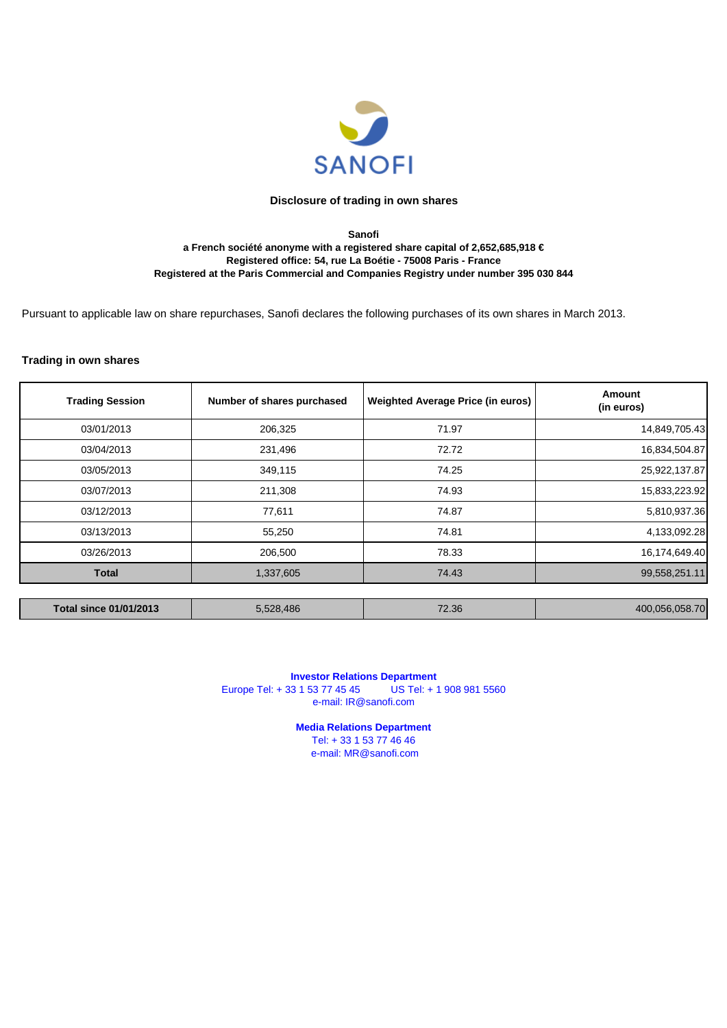

#### **Sanofi a French société anonyme with a registered share capital of 2,652,685,918 € Registered office: 54, rue La Boétie - 75008 Paris - France Registered at the Paris Commercial and Companies Registry under number 395 030 844**

Pursuant to applicable law on share repurchases, Sanofi declares the following purchases of its own shares in March 2013.

#### **Trading in own shares**

| <b>Trading Session</b>        | Number of shares purchased | <b>Weighted Average Price (in euros)</b> | Amount<br>(in euros) |
|-------------------------------|----------------------------|------------------------------------------|----------------------|
| 03/01/2013                    | 206,325                    | 71.97                                    | 14,849,705.43        |
| 03/04/2013                    | 231,496                    | 72.72                                    | 16,834,504.87        |
| 03/05/2013                    | 349,115                    | 74.25                                    | 25,922,137.87        |
| 03/07/2013                    | 211,308                    | 74.93                                    | 15,833,223.92        |
| 03/12/2013                    | 77,611                     | 74.87                                    | 5,810,937.36         |
| 03/13/2013                    | 55,250                     | 74.81                                    | 4,133,092.28         |
| 03/26/2013                    | 206,500                    | 78.33                                    | 16,174,649.40        |
| <b>Total</b>                  | 1,337,605                  | 74.43                                    | 99,558,251.11        |
|                               |                            |                                          |                      |
| <b>Total since 01/01/2013</b> | 5,528,486                  | 72.36                                    | 400,056,058.70       |

**Investor Relations Department**<br>33 1 53 77 45 45 US Tel: + 1 908 981 5560 Europe Tel: + 33 1 53 77 45 45 e-mail: IR@sanofi.com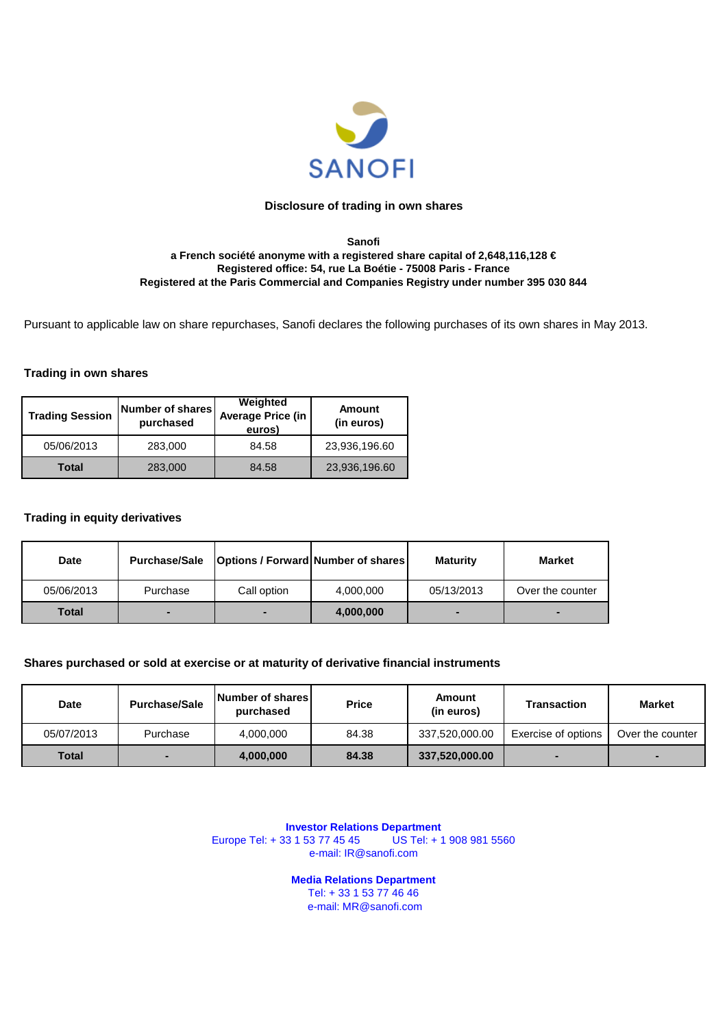

#### **Sanofi a French société anonyme with a registered share capital of 2,648,116,128 € Registered office: 54, rue La Boétie - 75008 Paris - France Registered at the Paris Commercial and Companies Registry under number 395 030 844**

Pursuant to applicable law on share repurchases, Sanofi declares the following purchases of its own shares in May 2013.

#### **Trading in own shares**

| <b>Trading Session</b> | Number of shares<br>purchased | Weighted<br><b>Average Price (in</b><br>euros) | <b>Amount</b><br>(in euros) |
|------------------------|-------------------------------|------------------------------------------------|-----------------------------|
| 05/06/2013             | 283,000                       | 84.58                                          | 23,936,196.60               |
| Total                  | 283,000                       | 84.58                                          | 23,936,196.60               |

## **Trading in equity derivatives**

| Date         | <b>Purchase/Sale</b> | <b>Options / Forward Number of shares</b> |           | <b>Maturity</b> | <b>Market</b>    |
|--------------|----------------------|-------------------------------------------|-----------|-----------------|------------------|
| 05/06/2013   | Purchase             | Call option                               | 4,000,000 | 05/13/2013      | Over the counter |
| <b>Total</b> | $\blacksquare$       |                                           | 4,000,000 | $\blacksquare$  | ▬                |

#### **Shares purchased or sold at exercise or at maturity of derivative financial instruments**

| <b>Date</b>  | <b>Purchase/Sale</b> | <b>Number of shares</b><br>purchased | <b>Price</b> | Amount<br>(in euros) | <b>Transaction</b>  | <b>Market</b>    |
|--------------|----------------------|--------------------------------------|--------------|----------------------|---------------------|------------------|
| 05/07/2013   | Purchase             | 4.000.000                            | 84.38        | 337.520.000.00       | Exercise of options | Over the counter |
| <b>Total</b> |                      | 4,000,000                            | 84.38        | 337,520,000.00       |                     |                  |

**Investor Relations Department**<br>13 1 53 77 45 45 US Tel: + 1 908 981 5560 Europe Tel: + 33 1 53 77 45 45 e-mail: IR@sanofi.com

> **Media Relations Department**  Tel: + 33 1 53 77 46 46

e-mail: MR@sanofi.com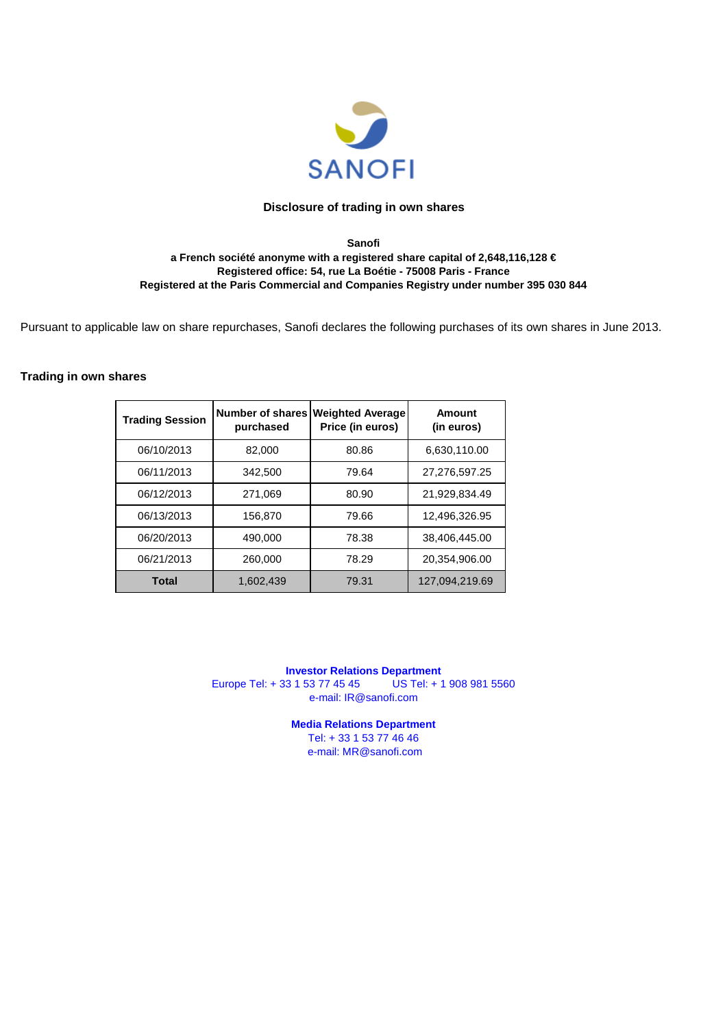

#### **Sanofi a French société anonyme with a registered share capital of 2,648,116,128 € Registered office: 54, rue La Boétie - 75008 Paris - France Registered at the Paris Commercial and Companies Registry under number 395 030 844**

Pursuant to applicable law on share repurchases, Sanofi declares the following purchases of its own shares in June 2013.

## **Trading in own shares**

| <b>Trading Session</b> | Number of shares<br>purchased | <b>Weighted Average</b><br>Price (in euros) | Amount<br>(in euros) |
|------------------------|-------------------------------|---------------------------------------------|----------------------|
| 06/10/2013             | 82,000                        | 80.86                                       | 6,630,110.00         |
| 06/11/2013             | 342,500                       | 79.64                                       | 27,276,597.25        |
| 06/12/2013             | 271.069                       | 80.90                                       | 21,929,834.49        |
| 06/13/2013             | 156,870                       | 79.66                                       | 12,496,326.95        |
| 06/20/2013             | 490,000                       | 78.38                                       | 38,406,445.00        |
| 06/21/2013             | 260,000                       | 78.29                                       | 20,354,906.00        |
| Total                  | 1.602.439                     | 79.31                                       | 127,094,219.69       |

**Investor Relations Department**<br> **IS 1 53 77 45 45** US Tel: + 1 908 981 5560 Europe Tel: + 33 1 53 77 45 45 e-mail: IR@sanofi.com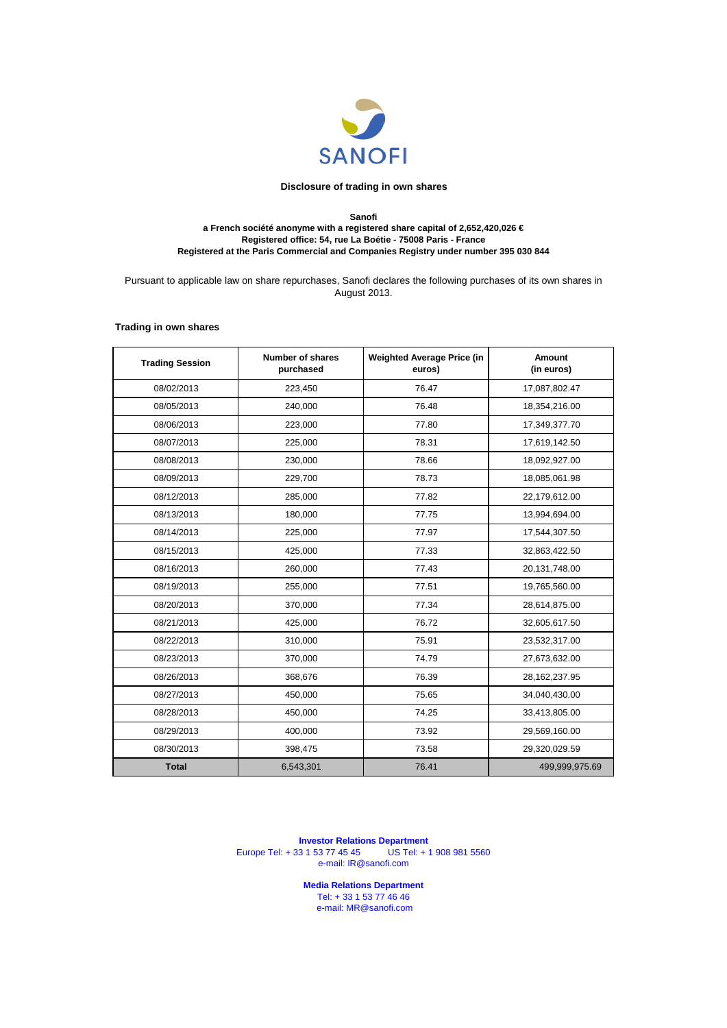

#### **Sanofi a French société anonyme with a registered share capital of 2,652,420,026 € Registered office: 54, rue La Boétie - 75008 Paris - France Registered at the Paris Commercial and Companies Registry under number 395 030 844**

Pursuant to applicable law on share repurchases, Sanofi declares the following purchases of its own shares in August 2013.

#### **Trading in own shares**

| <b>Trading Session</b> | Number of shares<br>purchased | <b>Weighted Average Price (in</b><br>euros) | Amount<br>(in euros) |
|------------------------|-------------------------------|---------------------------------------------|----------------------|
| 08/02/2013             | 223,450                       | 76.47                                       | 17,087,802.47        |
| 08/05/2013             | 240,000                       | 76.48                                       | 18,354,216.00        |
| 08/06/2013             | 223,000                       | 77.80                                       | 17,349,377.70        |
| 08/07/2013             | 225,000                       | 78.31                                       | 17,619,142.50        |
| 08/08/2013             | 230,000                       | 78.66                                       | 18,092,927.00        |
| 08/09/2013             | 229,700                       | 78.73                                       | 18,085,061.98        |
| 08/12/2013             | 285,000                       | 77.82                                       | 22,179,612.00        |
| 08/13/2013             | 180,000                       | 77.75                                       | 13,994,694.00        |
| 08/14/2013             | 225,000                       | 77.97                                       | 17,544,307.50        |
| 08/15/2013             | 425,000                       | 77.33                                       | 32,863,422.50        |
| 08/16/2013             | 260,000                       | 77.43                                       | 20,131,748.00        |
| 08/19/2013             | 255,000                       | 77.51                                       | 19,765,560.00        |
| 08/20/2013             | 370,000                       | 77.34                                       | 28,614,875.00        |
| 08/21/2013             | 425,000                       | 76.72                                       | 32,605,617.50        |
| 08/22/2013             | 310,000                       | 75.91                                       | 23,532,317.00        |
| 08/23/2013             | 370,000                       | 74.79                                       | 27,673,632.00        |
| 08/26/2013             | 368,676                       | 76.39                                       | 28,162,237.95        |
| 08/27/2013             | 450,000                       | 75.65                                       | 34,040,430.00        |
| 08/28/2013             | 450,000                       | 74.25                                       | 33,413,805.00        |
| 08/29/2013             | 400,000                       | 73.92                                       | 29,569,160.00        |
| 08/30/2013             | 398,475                       | 73.58                                       | 29,320,029.59        |
| <b>Total</b>           | 6,543,301                     | 76.41                                       | 499,999,975.69       |

**Investor Relations Department** Europe Tel: + 33 1 53 77 45 45 US Tel: + 1 908 981 5560 e-mail: IR@sanofi.com